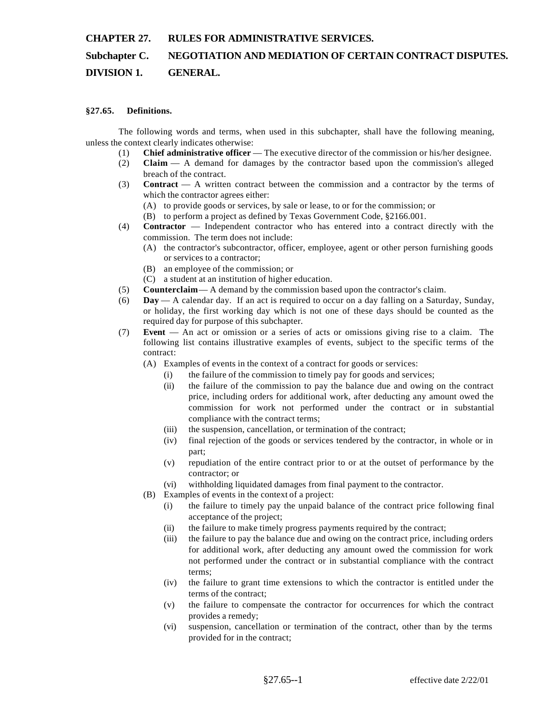#### **CHAPTER 27. RULES FOR ADMINISTRATIVE SERVICES.**

# **Subchapter C. NEGOTIATION AND MEDIATION OF CERTAIN CONTRACT DISPUTES.**

## **DIVISION 1. GENERAL.**

#### **§27.65. Definitions.**

The following words and terms, when used in this subchapter, shall have the following meaning, unless the context clearly indicates otherwise:

- (1) **Chief administrative officer** The executive director of the commission or his/her designee.
- (2) **Claim** A demand for damages by the contractor based upon the commission's alleged breach of the contract.
- (3) **Contract** A written contract between the commission and a contractor by the terms of which the contractor agrees either:
	- (A) to provide goods or services, by sale or lease, to or for the commission; or
	- (B) to perform a project as defined by Texas Government Code, §2166.001.
- (4) **Contractor** Independent contractor who has entered into a contract directly with the commission. The term does not include:
	- (A) the contractor's subcontractor, officer, employee, agent or other person furnishing goods or services to a contractor;
	- (B) an employee of the commission; or
	- (C) a student at an institution of higher education.
- (5) **Counterclaim** A demand by the commission based upon the contractor's claim.
- (6) **Day** A calendar day. If an act is required to occur on a day falling on a Saturday, Sunday, or holiday, the first working day which is not one of these days should be counted as the required day for purpose of this subchapter.
- (7) **Event** An act or omission or a series of acts or omissions giving rise to a claim. The following list contains illustrative examples of events, subject to the specific terms of the contract:
	- (A) Examples of events in the context of a contract for goods or services:
		- (i) the failure of the commission to timely pay for goods and services;
		- (ii) the failure of the commission to pay the balance due and owing on the contract price, including orders for additional work, after deducting any amount owed the commission for work not performed under the contract or in substantial compliance with the contract terms;
		- (iii) the suspension, cancellation, or termination of the contract;
		- (iv) final rejection of the goods or services tendered by the contractor, in whole or in part;
		- (v) repudiation of the entire contract prior to or at the outset of performance by the contractor; or
		- (vi) withholding liquidated damages from final payment to the contractor.
	- (B) Examples of events in the context of a project:
		- (i) the failure to timely pay the unpaid balance of the contract price following final acceptance of the project;
		- (ii) the failure to make timely progress payments required by the contract;
		- (iii) the failure to pay the balance due and owing on the contract price, including orders for additional work, after deducting any amount owed the commission for work not performed under the contract or in substantial compliance with the contract terms;
		- (iv) the failure to grant time extensions to which the contractor is entitled under the terms of the contract;
		- (v) the failure to compensate the contractor for occurrences for which the contract provides a remedy;
		- (vi) suspension, cancellation or termination of the contract, other than by the terms provided for in the contract;